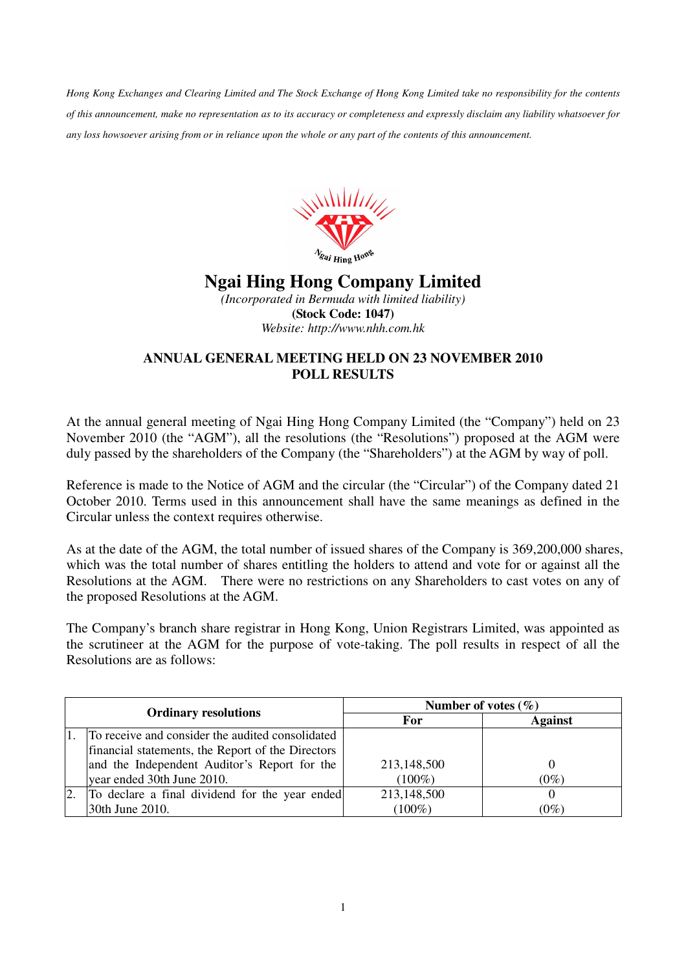*Hong Kong Exchanges and Clearing Limited and The Stock Exchange of Hong Kong Limited take no responsibility for the contents of this announcement, make no representation as to its accuracy or completeness and expressly disclaim any liability whatsoever for any loss howsoever arising from or in reliance upon the whole or any part of the contents of this announcement.* 



## **Ngai Hing Hong Company Limited**

*(Incorporated in Bermuda with limited liability)*  **(Stock Code: 1047)**  *Website: http://www.nhh.com.hk* 

## **ANNUAL GENERAL MEETING HELD ON 23 NOVEMBER 2010 POLL RESULTS**

At the annual general meeting of Ngai Hing Hong Company Limited (the "Company") held on 23 November 2010 (the "AGM"), all the resolutions (the "Resolutions") proposed at the AGM were duly passed by the shareholders of the Company (the "Shareholders") at the AGM by way of poll.

Reference is made to the Notice of AGM and the circular (the "Circular") of the Company dated 21 October 2010. Terms used in this announcement shall have the same meanings as defined in the Circular unless the context requires otherwise.

As at the date of the AGM, the total number of issued shares of the Company is 369,200,000 shares, which was the total number of shares entitling the holders to attend and vote for or against all the Resolutions at the AGM. There were no restrictions on any Shareholders to cast votes on any of the proposed Resolutions at the AGM.

The Company's branch share registrar in Hong Kong, Union Registrars Limited, was appointed as the scrutineer at the AGM for the purpose of vote-taking. The poll results in respect of all the Resolutions are as follows:

| <b>Ordinary resolutions</b> |                                                   | Number of votes $(\% )$ |                |
|-----------------------------|---------------------------------------------------|-------------------------|----------------|
|                             |                                                   | For                     | <b>Against</b> |
|                             | To receive and consider the audited consolidated  |                         |                |
|                             | financial statements, the Report of the Directors |                         |                |
|                             | and the Independent Auditor's Report for the      | 213,148,500             |                |
|                             | year ended 30th June 2010.                        | $(100\%)$               | $(0\%)$        |
| 2.                          | To declare a final dividend for the year ended    | 213,148,500             |                |
|                             | 30th June 2010.                                   | $(100\%)$               | $(0\%)$        |